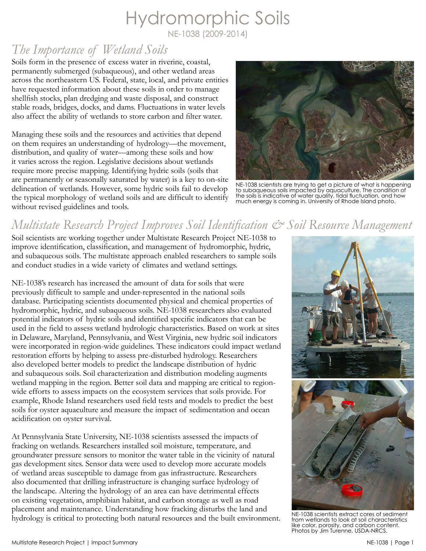# Hydromorphic Soils

NE-1038 (2009-2014)

## *The Importance of Wetland Soils*

Soils form in the presence of excess water in riverine, coastal, permanently submerged (subaqueous), and other wetland areas across the northeastern US. Federal, state, local, and private entities have requested information about these soils in order to manage shellfish stocks, plan dredging and waste disposal, and construct stable roads, bridges, docks, and dams. Fluctuations in water levels also affect the ability of wetlands to store carbon and filter water.

Managing these soils and the resources and activities that depend on them requires an understanding of hydrology—the movement, distribution, and quality of water—among these soils and how it varies across the region. Legislative decisions about wetlands require more precise mapping. Identifying hydric soils (soils that are permanently or seasonally saturated by water) is a key to on-site delineation of wetlands. However, some hydric soils fail to develop the typical morphology of wetland soils and are difficult to identify without revised guidelines and tools.



NE-1038 scientists are trying to get a picture of what is happening to subaqueous soils impacted by aquaculture. The condition of the soils is indicative of water quality, tidal fluctuation, and how much energy is coming in. University of Rhode Island photo.

## *Multistate Research Project Improves Soil Identification & Soil Resource Management*

Soil scientists are working together under Multistate Research Project NE-1038 to improve identification, classification, and management of hydromorphic, hydric, and subaqueous soils. The multistate approach enabled researchers to sample soils and conduct studies in a wide variety of climates and wetland settings.

NE-1038's research has increased the amount of data for soils that were previously difficult to sample and under-represented in the national soils database. Participating scientists documented physical and chemical properties of hydromorphic, hydric, and subaqueous soils. NE-1038 researchers also evaluated potential indicators of hydric soils and identified specific indicators that can be used in the field to assess wetland hydrologic characteristics. Based on work at sites in Delaware, Maryland, Pennsylvania, and West Virginia, new hydric soil indicators were incorporated in region-wide guidelines. These indicators could impact wetland restoration efforts by helping to assess pre-disturbed hydrology. Researchers also developed better models to predict the landscape distribution of hydric and subaqueous soils. Soil characterization and distribution modeling augments wetland mapping in the region. Better soil data and mapping are critical to regionwide efforts to assess impacts on the ecosystem services that soils provide. For example, Rhode Island researchers used field tests and models to predict the best soils for oyster aquaculture and measure the impact of sedimentation and ocean acidification on oyster survival.

At Pennsylvania State University, NE-1038 scientists assessed the impacts of fracking on wetlands. Researchers installed soil moisture, temperature, and groundwater pressure sensors to monitor the water table in the vicinity of natural gas development sites. Sensor data were used to develop more accurate models of wetland areas susceptible to damage from gas infrastructure. Researchers also documented that drilling infrastructure is changing surface hydrology of the landscape. Altering the hydrology of an area can have detrimental effects on existing vegetation, amphibian habitat, and carbon storage as well as road placement and maintenance. Understanding how fracking disturbs the land and hydrology is critical to protecting both natural resources and the built environment.



NE-1038 scientists extract cores of sediment from wetlands to look at soil characteristics like color, porosity, and carbon content. Photos by Jim Turenne, USDA-NRCS.